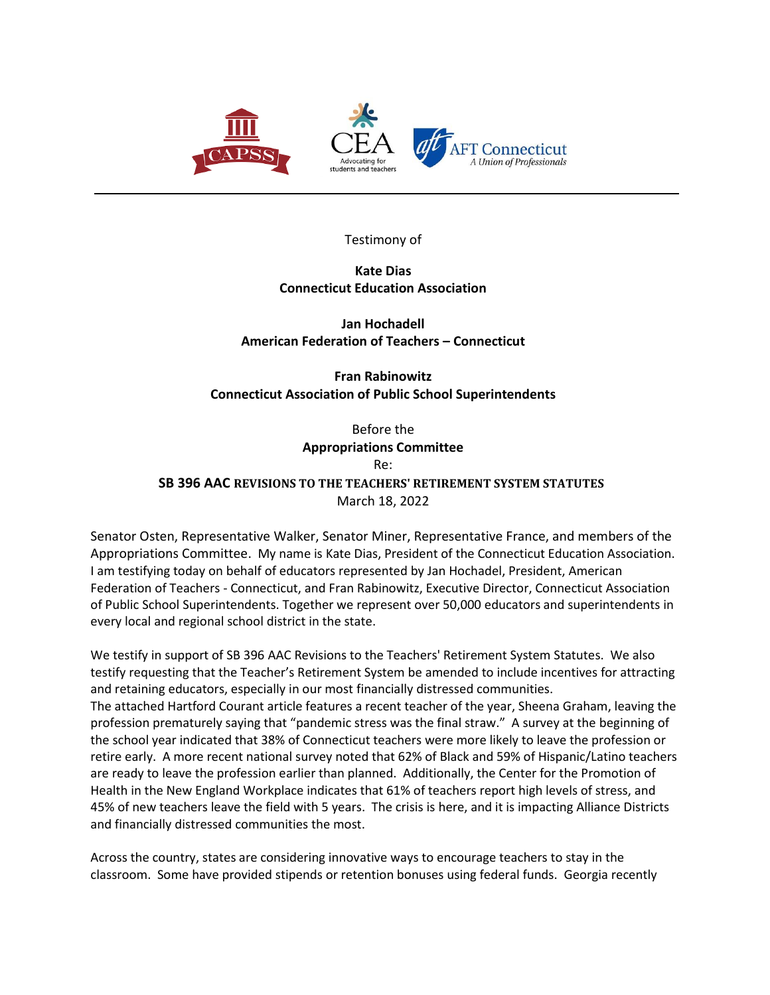

Testimony of

**Kate Dias Connecticut Education Association**

**Jan Hochadell American Federation of Teachers – Connecticut**

**Fran Rabinowitz Connecticut Association of Public School Superintendents**

Before the **Appropriations Committee** Re: **SB 396 AAC REVISIONS TO THE TEACHERS' RETIREMENT SYSTEM STATUTES** March 18, 2022

Senator Osten, Representative Walker, Senator Miner, Representative France, and members of the Appropriations Committee. My name is Kate Dias, President of the Connecticut Education Association. I am testifying today on behalf of educators represented by Jan Hochadel, President, American Federation of Teachers - Connecticut, and Fran Rabinowitz, Executive Director, Connecticut Association of Public School Superintendents. Together we represent over 50,000 educators and superintendents in every local and regional school district in the state.

We testify in support of SB 396 AAC Revisions to the Teachers' Retirement System Statutes. We also testify requesting that the Teacher's Retirement System be amended to include incentives for attracting and retaining educators, especially in our most financially distressed communities. The attached Hartford Courant article features a recent teacher of the year, Sheena Graham, leaving the profession prematurely saying that "pandemic stress was the final straw."  A survey at the beginning of the school year indicated that 38% of Connecticut teachers were more likely to leave the profession or retire early.  A more recent national survey noted that 62% of Black and 59% of Hispanic/Latino teachers are ready to leave the profession earlier than planned.  Additionally, the Center for the Promotion of Health in the New England Workplace indicates that 61% of teachers report high levels of stress, and 45% of new teachers leave the field with 5 years.  The crisis is here, and it is impacting Alliance Districts and financially distressed communities the most.

Across the country, states are considering innovative ways to encourage teachers to stay in the classroom.  Some have provided stipends or retention bonuses using federal funds.  Georgia recently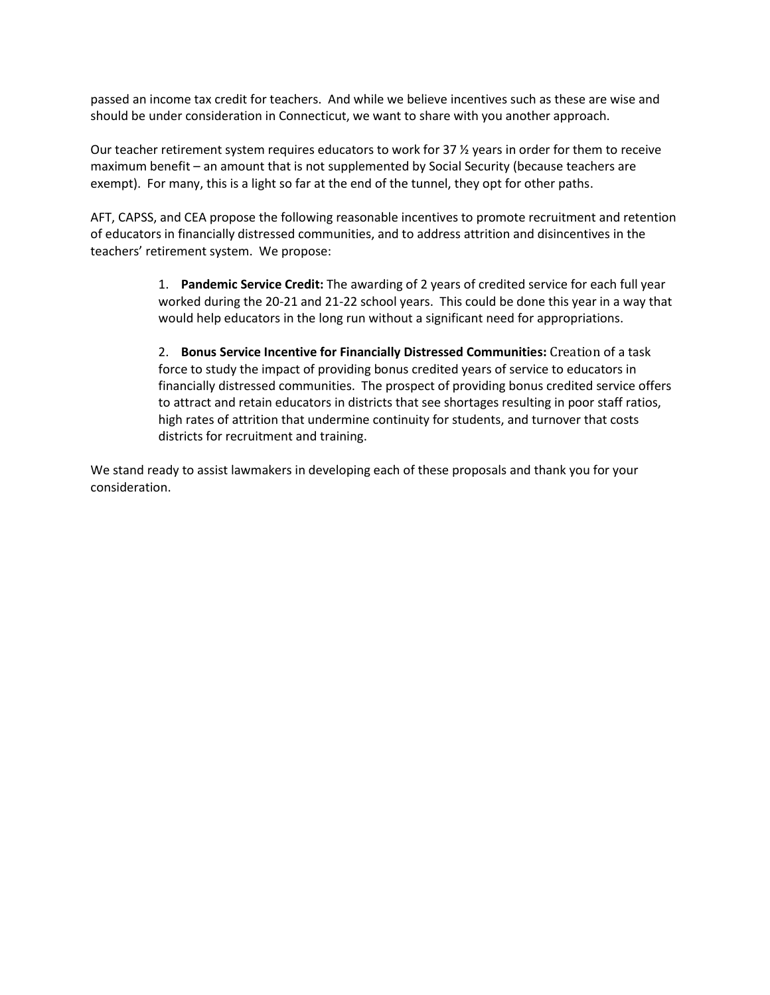passed an income tax credit for teachers.  And while we believe incentives such as these are wise and should be under consideration in Connecticut, we want to share with you another approach.

Our teacher retirement system requires educators to work for 37 ½ years in order for them to receive maximum benefit – an amount that is not supplemented by Social Security (because teachers are exempt). For many, this is a light so far at the end of the tunnel, they opt for other paths.

AFT, CAPSS, and CEA propose the following reasonable incentives to promote recruitment and retention of educators in financially distressed communities, and to address attrition and disincentives in the teachers' retirement system.  We propose:

> 1. **Pandemic Service Credit:** The awarding of 2 years of credited service for each full year worked during the 20-21 and 21-22 school years.  This could be done this year in a way that would help educators in the long run without a significant need for appropriations.

> 2. **Bonus Service Incentive for Financially Distressed Communities:** Creation of a task force to study the impact of providing bonus credited years of service to educators in financially distressed communities.  The prospect of providing bonus credited service offers to attract and retain educators in districts that see shortages resulting in poor staff ratios, high rates of attrition that undermine continuity for students, and turnover that costs districts for recruitment and training.

We stand ready to assist lawmakers in developing each of these proposals and thank you for your consideration.